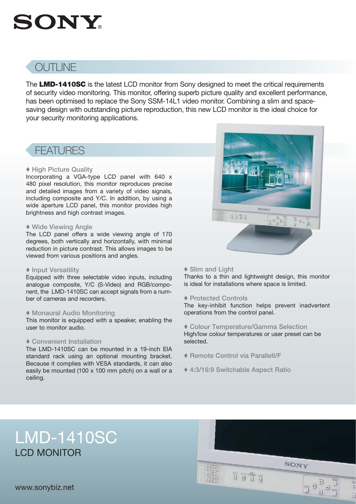# **SONY**

# OUTLINE

The LMD-1410SC is the latest LCD monitor from Sony designed to meet the critical requirements of security video monitoring. This monitor, offering superb picture quality and excellent performance, has been optimised to replace the Sony SSM-14L1 video monitor. Combining a slim and spacesaving design with outstanding picture reproduction, this new LCD monitor is the ideal choice for your security monitoring applications.

## FEATURES

#### ♦ High Picture Quality

Incorporating a VGA-type LCD panel with 640 x 480 pixel resolution, this monitor reproduces precise and detailed images from a variety of video signals, including composite and Y/C. In addition, by using a wide aperture LCD panel, this monitor provides high brightness and high contrast images.

#### ♦ Wide Viewing Angle

The LCD panel offers a wide viewing angle of 170 degrees, both vertically and horizontally, with minimal reduction in picture contrast. This allows images to be viewed from various positions and angles.

#### ♦ Input Versatility

Equipped with three selectable video inputs, including analogue composite, Y/C (S-Video) and RGB/component, the LMD-1410SC can accept signals from a number of cameras and recorders.

#### ♦ Monaural Audio Monitoring

This monitor is equipped with a speaker, enabling the user to monitor audio.

#### ♦ Convenient Installation

The LMD-1410SC can be mounted in a 19-inch EIA standard rack using an optional mounting bracket. Because it complies with VESA standards, it can also easily be mounted (100 x 100 mm pitch) on a wall or a ceiling.

#### ♦ Slim and Light

Thanks to a thin and lightweight design, this monitor is ideal for installations where space is limited.

SONY

3333

#### ♦ Protected Controls

The key-inhibit function helps prevent inadvertent operations from the control panel.

♦ Colour Temperature/Gamma Selection High/low colour temperatures or user preset can be selected.

- ♦ Remote Control via ParallelI/F
- ♦ 4:3/16:9 Switchable Aspect Ratio